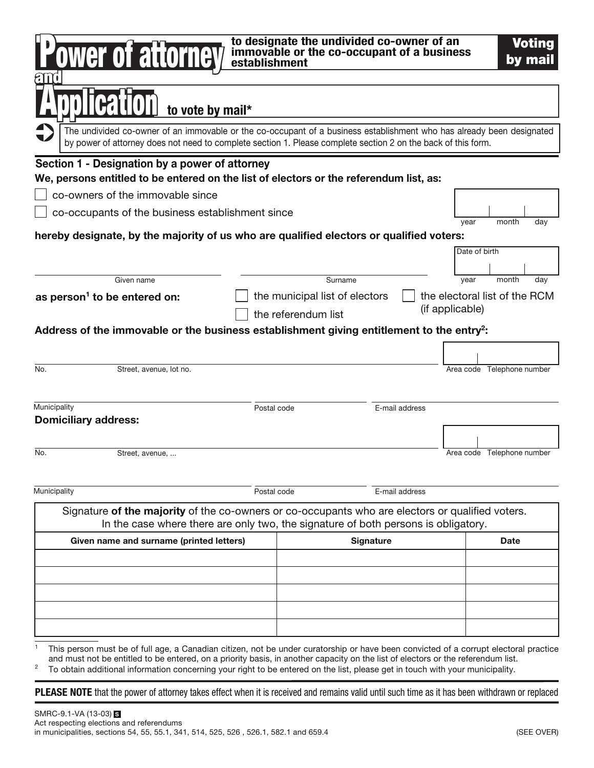| to designate the undivided co-owner of an<br><b>Voting</b><br>ower of attorney<br>immovable or the co-occupant of a business<br>by mail<br>establishment                                                                                                                                                                                                                                                                    |             |                                |                 |                               |  |  |
|-----------------------------------------------------------------------------------------------------------------------------------------------------------------------------------------------------------------------------------------------------------------------------------------------------------------------------------------------------------------------------------------------------------------------------|-------------|--------------------------------|-----------------|-------------------------------|--|--|
| to vote by mail*                                                                                                                                                                                                                                                                                                                                                                                                            |             |                                |                 |                               |  |  |
| The undivided co-owner of an immovable or the co-occupant of a business establishment who has already been designated<br>by power of attorney does not need to complete section 1. Please complete section 2 on the back of this form.                                                                                                                                                                                      |             |                                |                 |                               |  |  |
| Section 1 - Designation by a power of attorney                                                                                                                                                                                                                                                                                                                                                                              |             |                                |                 |                               |  |  |
| We, persons entitled to be entered on the list of electors or the referendum list, as:                                                                                                                                                                                                                                                                                                                                      |             |                                |                 |                               |  |  |
| co-owners of the immovable since                                                                                                                                                                                                                                                                                                                                                                                            |             |                                |                 |                               |  |  |
| co-occupants of the business establishment since                                                                                                                                                                                                                                                                                                                                                                            |             |                                |                 | month<br>day<br>year          |  |  |
| hereby designate, by the majority of us who are qualified electors or qualified voters:                                                                                                                                                                                                                                                                                                                                     |             |                                |                 |                               |  |  |
|                                                                                                                                                                                                                                                                                                                                                                                                                             |             |                                |                 | Date of birth                 |  |  |
| Given name                                                                                                                                                                                                                                                                                                                                                                                                                  |             | Surname                        |                 | month<br>year<br>day          |  |  |
| as person <sup>1</sup> to be entered on:                                                                                                                                                                                                                                                                                                                                                                                    |             | the municipal list of electors |                 | the electoral list of the RCM |  |  |
|                                                                                                                                                                                                                                                                                                                                                                                                                             |             | the referendum list            | (if applicable) |                               |  |  |
| Address of the immovable or the business establishment giving entitlement to the entry <sup>2</sup> :                                                                                                                                                                                                                                                                                                                       |             |                                |                 |                               |  |  |
|                                                                                                                                                                                                                                                                                                                                                                                                                             |             |                                |                 |                               |  |  |
| No.<br>Street, avenue, lot no.                                                                                                                                                                                                                                                                                                                                                                                              |             |                                |                 | Area code Telephone number    |  |  |
|                                                                                                                                                                                                                                                                                                                                                                                                                             |             |                                |                 |                               |  |  |
|                                                                                                                                                                                                                                                                                                                                                                                                                             |             |                                |                 |                               |  |  |
| Municipality<br><b>Domiciliary address:</b>                                                                                                                                                                                                                                                                                                                                                                                 | Postal code |                                | E-mail address  |                               |  |  |
|                                                                                                                                                                                                                                                                                                                                                                                                                             |             |                                |                 |                               |  |  |
| No.<br>Street, avenue,                                                                                                                                                                                                                                                                                                                                                                                                      |             |                                |                 | Area code Telephone number    |  |  |
|                                                                                                                                                                                                                                                                                                                                                                                                                             |             |                                |                 |                               |  |  |
| Municipality                                                                                                                                                                                                                                                                                                                                                                                                                | Postal code |                                | E-mail address  |                               |  |  |
|                                                                                                                                                                                                                                                                                                                                                                                                                             |             |                                |                 |                               |  |  |
| Signature of the majority of the co-owners or co-occupants who are electors or qualified voters.<br>In the case where there are only two, the signature of both persons is obligatory.                                                                                                                                                                                                                                      |             |                                |                 |                               |  |  |
| Given name and surname (printed letters)                                                                                                                                                                                                                                                                                                                                                                                    |             | <b>Signature</b>               |                 | <b>Date</b>                   |  |  |
|                                                                                                                                                                                                                                                                                                                                                                                                                             |             |                                |                 |                               |  |  |
|                                                                                                                                                                                                                                                                                                                                                                                                                             |             |                                |                 |                               |  |  |
|                                                                                                                                                                                                                                                                                                                                                                                                                             |             |                                |                 |                               |  |  |
|                                                                                                                                                                                                                                                                                                                                                                                                                             |             |                                |                 |                               |  |  |
|                                                                                                                                                                                                                                                                                                                                                                                                                             |             |                                |                 |                               |  |  |
| This person must be of full age, a Canadian citizen, not be under curatorship or have been convicted of a corrupt electoral practice<br>and must not be entitled to be entered, on a priority basis, in another capacity on the list of electors or the referendum list.<br>$\overline{c}$<br>To obtain additional information concerning your right to be entered on the list, please get in touch with your municipality. |             |                                |                 |                               |  |  |
| <b>PLEASE NOTE</b> that the power of attorney takes effect when it is received and remains valid until such time as it has been withdrawn or replaced                                                                                                                                                                                                                                                                       |             |                                |                 |                               |  |  |